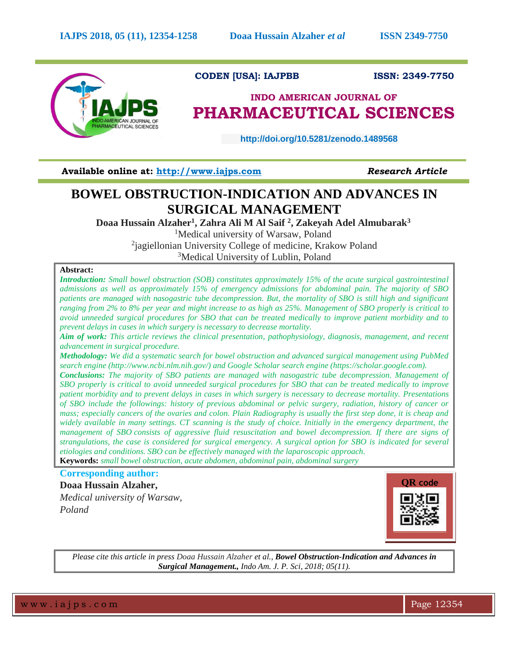

# **CODEN [USA]: IAJPBB ISSN: 2349-7750**

# **INDO AMERICAN JOURNAL OF PHARMACEUTICAL SCIENCES**

 **http://doi.org/10.5281/zenodo.1489568** 

**Available online at: [http://www.iajps.com](http://www.iajps.com/)** *Research Article*

# **BOWEL OBSTRUCTION-INDICATION AND ADVANCES IN SURGICAL MANAGEMENT**

**Doaa Hussain Alzaher<sup>1</sup> , Zahra Ali M Al Saif <sup>2</sup> , Zakeyah Adel Almubarak<sup>3</sup>**

<sup>1</sup>Medical university of Warsaw, Poland

<sup>2</sup>jagiellonian University College of medicine, Krakow Poland

<sup>3</sup>Medical University of Lublin, Poland

## **Abstract:**

*Introduction: Small bowel obstruction (SOB) constitutes approximately 15% of the acute surgical gastrointestinal admissions as well as approximately 15% of emergency admissions for abdominal pain. The majority of SBO patients are managed with nasogastric tube decompression. But, the mortality of SBO is still high and significant ranging from 2% to 8% per year and might increase to as high as 25%. Management of SBO properly is critical to avoid unneeded surgical procedures for SBO that can be treated medically to improve patient morbidity and to prevent delays in cases in which surgery is necessary to decrease mortality.*

*Aim of work: This article reviews the clinical presentation, pathophysiology, diagnosis, management, and recent advancement in surgical procedure.*

*Methodology: We did a systematic search for bowel obstruction and advanced surgical management using PubMed search engine (http://www.ncbi.nlm.nih.gov/) and Google Scholar search engine (https://scholar.google.com).*

*Conclusions: The majority of SBO patients are managed with nasogastric tube decompression. Management of SBO properly is critical to avoid unneeded surgical procedures for SBO that can be treated medically to improve patient morbidity and to prevent delays in cases in which surgery is necessary to decrease mortality. Presentations of SBO include the followings: history of previous abdominal or pelvic surgery, radiation, history of cancer or mass; especially cancers of the ovaries and colon. Plain Radiography is usually the first step done, it is cheap and*  widely available in many settings. CT scanning is the study of choice. Initially in the emergency department, the *management of SBO consists of aggressive fluid resuscitation and bowel decompression. If there are signs of strangulations, the case is considered for surgical emergency. A surgical option for SBO is indicated for several etiologies and conditions. SBO can be effectively managed with the laparoscopic approach.* **Keywords:** *small bowel obstruction, acute abdomen, abdominal pain, abdominal surgery*

**Corresponding author:** 

**Doaa Hussain Alzaher,** *Medical university of Warsaw, Poland*



*Please cite this article in press Doaa Hussain Alzaher et al., Bowel Obstruction-Indication and Advances in Surgical Management., Indo Am. J. P. Sci, 2018; 05(11).*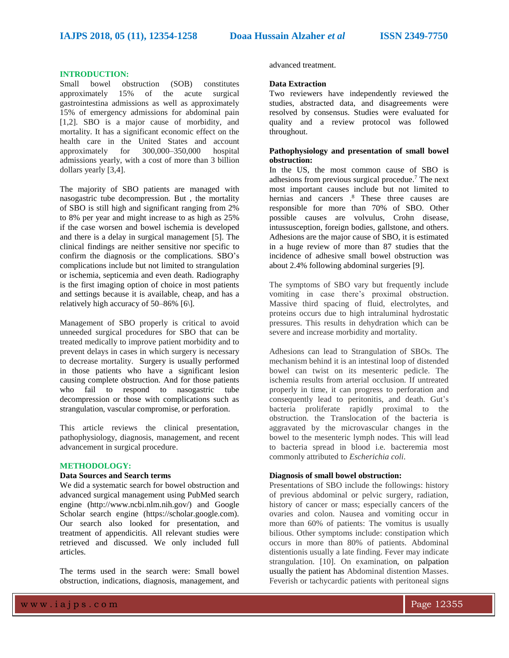#### **INTRODUCTION:**

Small bowel obstruction (SOB) constitutes approximately 15% of the acute surgical gastrointestina admissions as well as approximately 15% of emergency admissions for abdominal pain [1,2]. SBO is a major cause of morbidity, and mortality. It has a significant economic effect on the health care in the United States and account approximately for 300,000–350,000 hospital admissions yearly, with a cost of more than 3 billion dollars yearly [3,4].

The majority of SBO patients are managed with nasogastric tube decompression. But , the mortality of SBO is still high and significant ranging from 2% to 8% per year and might increase to as high as 25% if the case worsen and bowel ischemia is developed and there is a delay in surgical management [5]. The clinical findings are neither sensitive nor specific to confirm the diagnosis or the complications. SBO's complications include but not limited to strangulation or ischemia, septicemia and even death. Radiography is the first imaging option of choice in most patients and settings because it is available, cheap, and has a relatively high accuracy of 50–86% [6\].

Management of SBO properly is critical to avoid unneeded surgical procedures for SBO that can be treated medically to improve patient morbidity and to prevent delays in cases in which surgery is necessary to decrease mortality. Surgery is usually performed in those patients who have a significant lesion causing complete obstruction. And for those patients who fail to respond to nasogastric tube decompression or those with complications such as strangulation, vascular compromise, or perforation.

This article reviews the clinical presentation, pathophysiology, diagnosis, management, and recent advancement in surgical procedure.

# **METHODOLOGY:**

## **Data Sources and Search terms**

We did a systematic search for bowel obstruction and advanced surgical management using PubMed search engine (http://www.ncbi.nlm.nih.gov/) and Google Scholar search engine (https://scholar.google.com). Our search also looked for presentation, and treatment of appendicitis. All relevant studies were retrieved and discussed. We only included full articles.

The terms used in the search were: Small bowel obstruction, indications, diagnosis, management, and advanced treatment.

#### **Data Extraction**

Two reviewers have independently reviewed the studies, abstracted data, and disagreements were resolved by consensus. Studies were evaluated for quality and a review protocol was followed throughout.

### **Pathophysiology and presentation of small bowel obstruction:**

In the US, the most common cause of SBO is adhesions from previous surgical procedue. <sup>7</sup> The next most important causes include but not limited to hernias and cancers . <sup>8</sup> These three causes are responsible for more than 70% of SBO. Other possible causes are volvulus, Crohn disease, intussusception, foreign bodies, gallstone, and others. Adhesions are the major cause of SBO, it is estimated in a huge review of more than 87 studies that the incidence of adhesive small bowel obstruction was about 2.4% following abdominal surgeries [9].

The symptoms of SBO vary but frequently include vomiting in case there's proximal obstruction. Massive third spacing of fluid, electrolytes, and proteins occurs due to high intraluminal hydrostatic pressures. This results in dehydration which can be severe and increase morbidity and mortality.

Adhesions can lead to Strangulation of SBOs. The mechanism behind it is an intestinal loop of distended bowel can twist on its mesenteric pedicle. The ischemia results from arterial occlusion. If untreated properly in time, it can progress to perforation and consequently lead to peritonitis, and death. Gut's bacteria proliferate rapidly proximal to the obstruction. the Translocation of the bacteria is aggravated by the microvascular changes in the bowel to the mesenteric lymph nodes. This will lead to bacteria spread in blood i.e. bacteremia most commonly attributed to *Escherichia coli*.

#### **Diagnosis of small bowel obstruction:**

Presentations of SBO include the followings: history of previous abdominal or pelvic surgery, radiation, history of cancer or mass; especially cancers of the ovaries and colon. Nausea and vomiting occur in more than 60% of patients: The vomitus is usually bilious. Other symptoms include: constipation which occurs in more than 80% of patients. Abdominal distentionis usually a late finding. Fever may indicate strangulation. [10]. On examination, on palpation usually the patient has Abdominal distention Masses. Feverish or tachycardic patients with peritoneal signs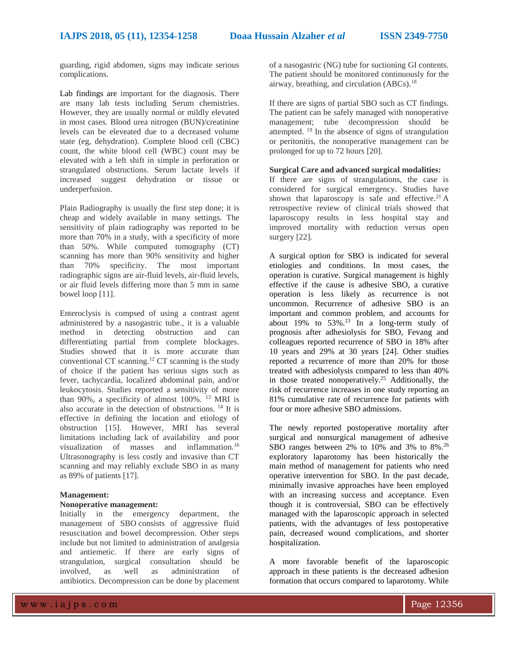guarding, rigid abdomen, signs may indicate serious complications.

Lab findings are important for the diagnosis. There are many lab tests including Serum chemistries. However, they are usually normal or mildly elevated in most cases. Blood urea nitrogen (BUN)/creatinine levels can be eleveated due to a decreased volume state (eg, dehydration). Complete blood cell (CBC) count, the white blood cell (WBC) count may be elevated with a left shift in simple in perforation or strangulated obstructions. Serum lactate levels if increased suggest dehydration or tissue or underperfusion.

Plain Radiography is usually the first step done; it is cheap and widely available in many settings. The sensitivity of plain radiography was reported to be more than 70% in a study, with a specificity of more than 50%. While computed tomography (CT) scanning has more than 90% sensitivity and higher than 70% specificity. The most important radiographic signs are air-fluid levels, air-fluid levels, or air fluid levels differing more than 5 mm in same bowel loop [11].

Enteroclysis is compsed of using a contrast agent administered by a nasogastric tube., it is a valuable method in detecting obstruction and can differentiating partial from complete blockages. Studies showed that it is more accurate than conventional CT scanning. <sup>12</sup> CT scanning is the study of choice if the patient has serious signs such as fever, tachycardia, localized abdominal pain, and/or leukocytosis. Studies reported a sensitivity of more than 90%, a specificity of almost 100%. <sup>13</sup> MRI is also accurate in the detection of obstructions. <sup>14</sup> It is effective in defining the location and etiology of obstruction [15]. However, MRI has several limitations including lack of availability and poor visualization of masses and inflammation.<sup>16</sup> Ultrasonography is less costly and invasive than CT scanning and may reliably exclude SBO in as many as 89% of patients [17].

#### **Management:**

#### **Nonoperative management:**

Initially in the emergency department, the management of SBO consists of aggressive fluid resuscitation and bowel decompression. Other steps include but not limited to administration of analgesia and antiemetic. If there are early signs of strangulation, surgical consultation should be involved, as well as administration of antibiotics. Decompression can be done by placement of a nasogastric (NG) tube for suctioning GI contents. The patient should be monitored continuously for the airway, breathing, and circulation (ABCs). 18

If there are signs of partial SBO such as CT findings. The patient can be safely managed with nonoperative management; tube decompression should be attempted. <sup>19</sup> In the absence of signs of strangulation or peritonitis, the nonoperative management can be prolonged for up to 72 hours [20].

## **Surgical Care and advanced surgical modalities:**

If there are signs of strangulations, the case is considered for surgical emergency. Studies have shown that laparoscopy is safe and effective.<sup>21</sup> A retrospective review of clinical trials showed that laparoscopy results in less hospital stay and improved mortality with reduction versus open surgery [22].

A surgical option for SBO is indicated for several etiologies and conditions. In most cases, the operation is curative. Surgical management is highly effective if the cause is adhesive SBO, a curative operation is less likely as recurrence is not uncommon. Recurrence of adhesive SBO is an important and common problem, and accounts for about 19% to  $53\%$ .<sup>23</sup> In a long-term study of prognosis after adhesiolysis for SBO, Fevang and colleagues reported recurrence of SBO in 18% after 10 years and 29% at 30 years [24]. Other studies reported a recurrence of more than 20% for those treated with adhesiolysis compared to less than 40% in those treated nonoperatively.<sup>25</sup> Additionally, the risk of recurrence increases in one study reporting an 81% cumulative rate of recurrence for patients with four or more adhesive SBO admissions.

The newly reported postoperative mortality after surgical and nonsurgical management of adhesive SBO ranges between 2% to 10% and 3% to 8%.<sup>26</sup> exploratory laparotomy has been historically the main method of management for patients who need operative intervention for SBO. In the past decade, minimally invasive approaches have been employed with an increasing success and acceptance. Even though it is controversial, SBO can be effectively managed with the laparoscopic approach in selected patients, with the advantages of less postoperative pain, decreased wound complications, and shorter hospitalization.

A more favorable benefit of the laparoscopic approach in these patients is the decreased adhesion formation that occurs compared to laparotomy. While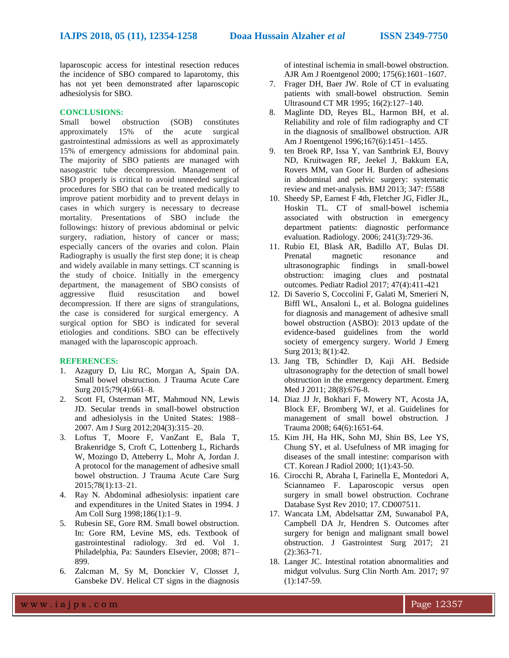laparoscopic access for intestinal resection reduces the incidence of SBO compared to laparotomy, this has not yet been demonstrated after laparoscopic adhesiolysis for SBO.

#### **CONCLUSIONS:**

Small bowel obstruction (SOB) constitutes approximately 15% of the acute surgical gastrointestinal admissions as well as approximately 15% of emergency admissions for abdominal pain. The majority of SBO patients are managed with nasogastric tube decompression. Management of SBO properly is critical to avoid unneeded surgical procedures for SBO that can be treated medically to improve patient morbidity and to prevent delays in cases in which surgery is necessary to decrease mortality. Presentations of SBO include the followings: history of previous abdominal or pelvic surgery, radiation, history of cancer or mass; especially cancers of the ovaries and colon. Plain Radiography is usually the first step done; it is cheap and widely available in many settings. CT scanning is the study of choice. Initially in the emergency department, the management of SBO consists of aggressive fluid resuscitation and bowel decompression. If there are signs of strangulations, the case is considered for surgical emergency. A surgical option for SBO is indicated for several etiologies and conditions. SBO can be effectively managed with the laparoscopic approach.

#### **REFERENCES:**

- 1. Azagury D, Liu RC, Morgan A, Spain DA. Small bowel obstruction. J Trauma Acute Care Surg 2015;79(4):661–8.
- 2. Scott FI, Osterman MT, Mahmoud NN, Lewis JD. Secular trends in small-bowel obstruction and adhesiolysis in the United States: 1988– 2007. Am J Surg 2012;204(3):315–20.
- 3. Loftus T, Moore F, VanZant E, Bala T, Brakenridge S, Croft C, Lottenberg L, Richards W, Mozingo D, Atteberry L, Mohr A, Jordan J. A protocol for the management of adhesive small bowel obstruction. J Trauma Acute Care Surg 2015;78(1):13–21.
- 4. Ray N. Abdominal adhesiolysis: inpatient care and expenditures in the United States in 1994. J Am Coll Surg 1998;186(1):1–9.
- 5. Rubesin SE, Gore RM. Small bowel obstruction. In: Gore RM, Levine MS, eds. Textbook of gastrointestinal radiology. 3rd ed. Vol 1. Philadelphia, Pa: Saunders Elsevier, 2008; 871– 899.
- 6. Zalcman M, Sy M, Donckier V, Closset J, Gansbeke DV. Helical CT signs in the diagnosis

of intestinal ischemia in small-bowel obstruction. AJR Am J Roentgenol 2000; 175(6):1601–1607.

- 7. Frager DH, Baer JW. Role of CT in evaluating patients with small-bowel obstruction. Semin Ultrasound CT MR 1995; 16(2):127–140.
- 8. Maglinte DD, Reyes BL, Harmon BH, et al. Reliability and role of film radiography and CT in the diagnosis of smallbowel obstruction. AJR Am J Roentgenol 1996;167(6):1451–1455.
- 9. ten Broek RP, Issa Y, van Santbrink EJ, Bouvy ND, Kruitwagen RF, Jeekel J, Bakkum EA, Rovers MM, van Goor H. Burden of adhesions in abdominal and pelvic surgery: systematic review and met-analysis. BMJ 2013; 347: f5588
- 10. Sheedy SP, Earnest F 4th, Fletcher JG, Fidler JL, Hoskin TL. CT of small-bowel ischemia associated with obstruction in emergency department patients: diagnostic performance evaluation. Radiology. 2006; 241(3):729-36.
- 11. Rubio EI, Blask AR, Badillo AT, Bulas DI. Prenatal magnetic resonance and ultrasonographic findings in small-bowel obstruction: imaging clues and postnatal outcomes. Pediatr Radiol 2017; 47(4):411-421
- 12. Di Saverio S, Coccolini F, Galati M, Smerieri N, Biffl WL, Ansaloni L, et al. Bologna guidelines for diagnosis and management of adhesive small bowel obstruction (ASBO): 2013 update of the evidence-based guidelines from the world society of emergency surgery. World J Emerg Surg 2013; 8(1):42.
- 13. Jang TB, Schindler D, Kaji AH. Bedside ultrasonography for the detection of small bowel obstruction in the emergency department. Emerg Med J 2011; 28(8):676-8.
- 14. Diaz JJ Jr, Bokhari F, Mowery NT, Acosta JA, Block EF, Bromberg WJ, et al. Guidelines for management of small bowel obstruction. J Trauma 2008; 64(6):1651-64.
- 15. Kim JH, Ha HK, Sohn MJ, Shin BS, Lee YS, Chung SY, et al. Usefulness of MR imaging for diseases of the small intestine: comparison with CT. Korean J Radiol 2000; 1(1):43-50.
- 16. Cirocchi R, Abraha I, Farinella E, Montedori A, Sciannameo F. Laparoscopic versus open surgery in small bowel obstruction. Cochrane Database Syst Rev 2010; 17. CD007511.
- 17. Wancata LM, Abdelsattar ZM, Suwanabol PA, Campbell DA Jr, Hendren S. Outcomes after surgery for benign and malignant small bowel obstruction. J Gastrointest Surg 2017; 21 (2):363-71.
- 18. Langer JC. Intestinal rotation abnormalities and midgut volvulus. Surg Clin North Am. 2017; 97 (1):147-59.